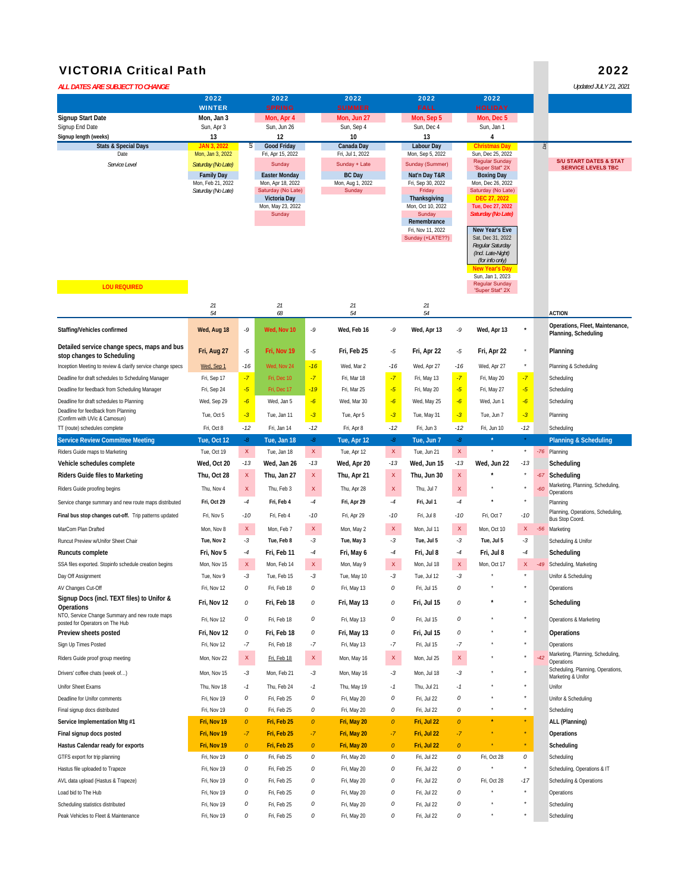## VICTORIA Critical Path 2022

| ALL DATES ARE SUBJECT TO CHANGE                                      |                                        |           |                                    |             |                                   |           |                                     |             |                                            |                  |       | Updated JULY 21, 2021                                   |
|----------------------------------------------------------------------|----------------------------------------|-----------|------------------------------------|-------------|-----------------------------------|-----------|-------------------------------------|-------------|--------------------------------------------|------------------|-------|---------------------------------------------------------|
|                                                                      | 2022                                   |           | 2022                               |             | 2022                              |           | 2022                                |             | 2022                                       |                  |       |                                                         |
|                                                                      | <b>WINTER</b>                          |           | <b>SPRING</b>                      |             | <b>SUMMER</b>                     |           | <b>FALL</b>                         |             | <b>HOLIDAY</b>                             |                  |       |                                                         |
| Signup Start Date<br>Signup End Date                                 | Mon, Jan 3<br>Sun, Apr 3               |           | Mon, Apr 4<br>Sun, Jun 26          |             | Mon, Jun 27<br>Sun, Sep 4         |           | Mon, Sep 5<br>Sun, Dec 4            |             | Mon, Dec 5<br>Sun, Jan 1                   |                  |       |                                                         |
| Signup length (weeks)                                                | 13                                     |           | 12                                 |             | 10                                |           | 13                                  |             | 4                                          |                  |       |                                                         |
| <b>Stats &amp; Special Days</b>                                      | <b>JAN 3, 2022</b>                     | క         | <b>Good Friday</b>                 |             | Canada Day                        |           | <b>Labour Day</b>                   |             | Christmas Day                              |                  | å.    |                                                         |
| Date<br>Service Level                                                | Mon, Jan 3, 2022<br>Saturday (No Late) |           | Fri, Apr 15, 2022<br>Sunday        |             | Fri, Jul 1, 2022<br>Sunday + Late |           | Mon, Sep 5, 2022<br>Sunday (Summer) |             | Sun, Dec 25, 2022<br><b>Regular Sunday</b> |                  |       | <b>S/U START DATES &amp; STAT</b>                       |
|                                                                      | <b>Family Day</b>                      |           | <b>Easter Monday</b>               |             | <b>BC</b> Day                     |           | Nat'n Day T&R                       |             | 'Super Stat" 2X<br><b>Boxing Day</b>       |                  |       | <b>SERVICE LEVELS TBC</b>                               |
|                                                                      | Mon, Feb 21, 2022                      |           | Mon, Apr 18, 2022                  |             | Mon, Aug 1, 2022                  |           | Fri, Sep 30, 2022                   |             | Mon, Dec 26, 2022                          |                  |       |                                                         |
|                                                                      | Saturday (No Late)                     |           | Saturday (No Late)<br>Victoria Day |             | Sunday                            |           | Friday<br>Thanksgiving              |             | Saturday (No Late)<br>DEC 27, 2022         |                  |       |                                                         |
|                                                                      |                                        |           | Mon, May 23, 2022                  |             |                                   |           | Mon, Oct 10, 2022                   |             | Tue, Dec 27, 2022                          |                  |       |                                                         |
|                                                                      |                                        |           | Sunday                             |             |                                   |           | Sunday<br>Remembrance               |             | Saturday (No Late)                         |                  |       |                                                         |
|                                                                      |                                        |           |                                    |             |                                   |           | Fri, Nov 11, 2022                   |             | New Year's Eve                             |                  |       |                                                         |
|                                                                      |                                        |           |                                    |             |                                   |           | Sunday (+LATE??)                    |             | Sat, Dec 31, 2022<br>Regular Saturday      |                  |       |                                                         |
|                                                                      |                                        |           |                                    |             |                                   |           |                                     |             | (Incl. Late-Night)<br>(for info only)      |                  |       |                                                         |
|                                                                      |                                        |           |                                    |             |                                   |           |                                     |             | New Year's Day                             |                  |       |                                                         |
|                                                                      |                                        |           |                                    |             |                                   |           |                                     |             | Sun, Jan 1, 2023<br><b>Regular Sunday</b>  |                  |       |                                                         |
| <b>LOU REQUIRED</b>                                                  |                                        |           |                                    |             |                                   |           |                                     |             | 'Super Stat" 2X                            |                  |       |                                                         |
|                                                                      | 21                                     |           | 21                                 |             | $21\,$                            |           | 21                                  |             |                                            |                  |       |                                                         |
|                                                                      | 54                                     |           | 68                                 |             | 54                                |           | 54                                  |             |                                            |                  |       | <b>ACTION</b>                                           |
| Staffing/Vehicles confirmed                                          | Wed, Aug 18                            | -9        | Wed, Nov 10                        | -9          | Wed, Feb 16                       | -9        | Wed, Apr 13                         | -9          | Wed, Apr 13                                |                  |       | Operations, Fleet, Maintenance,<br>Planning, Scheduling |
| Detailed service change specs, maps and bus                          |                                        |           |                                    |             |                                   |           |                                     |             |                                            |                  |       |                                                         |
| stop changes to Scheduling                                           | Fri, Aug 27                            | -5        | Fri, Nov 19                        | -5          | Fri, Feb 25                       | -5        | Fri, Apr 22                         | -5          | Fri, Apr 22                                |                  |       | Planning                                                |
| Inception Meeting to review & clarify service change specs           | Wed, Sep 1                             | $-16$     | Wed, Nov 24                        | $-16$       | Wed, Mar 2                        | $-16$     | Wed, Apr 27                         | $-16$       | Wed, Apr 27                                | $\star$          |       | Planning & Scheduling                                   |
| Deadline for draft schedules to Scheduling Manager                   | Fri, Sep 17                            | $-7$      | Fri. Dec 10                        | $-7$        | Fri, Mar 18                       | $-7$      | Fri, May 13                         | $-7$        | Fri, May 20                                | $-7$             |       | Scheduling                                              |
| Deadline for feedback from Scheduling Manager                        | Fri, Sep 24                            | $-5$      | Fri, Dec 17                        | $-19$       | Fri, Mar 25                       | $-5$      | Fri, May 20                         | $-5$        | Fri, May 27                                | $-5$             |       | Scheduling                                              |
| Deadline for draft schedules to Planning                             | Wed, Sep 29                            | $-6$      | Wed, Jan 5                         | $-6$        | Wed, Mar 30                       | $-6$      | Wed, May 25                         | $-6$        | Wed, Jun 1                                 | $-6$             |       | Scheduling                                              |
| Deadline for feedback from Planning<br>(Confirm with UVic & Camosun) | Tue, Oct 5                             | $-3$      | Tue, Jan 11                        | $-3$        | Tue, Apr 5                        | $-3$      | Tue, May 31                         | $-3$        | Tue, Jun 7                                 | $-3$             |       | Planning                                                |
| TT (route) schedules complete                                        | Fri, Oct 8                             | $-12$     | Fri, Jan 14                        | $-12$       | Fri, Apr 8                        | $-12$     | Fri, Jun 3                          | $-12$       | Fri, Jun 10                                | $-12$            |       | Scheduling                                              |
| <b>Service Review Committee Meeting</b>                              | Tue, Oct 12                            | $-8$      | Tue, Jan 18                        | $-8$        | Tue, Apr 12                       | $-8$      | Tue, Jun 7                          | -8          |                                            | $\star$          |       | <b>Planning &amp; Scheduling</b>                        |
| Riders Guide maps to Marketing                                       | Tue, Oct 19                            | x         | Tue, Jan 18                        | X           | Tue, Apr 12                       | X.        | Tue, Jun 21                         | X           |                                            | $\star$          |       | -76 Planning                                            |
| Vehicle schedules complete                                           | Wed, Oct 20                            | $-13$     | Wed, Jan 26                        | $-13$       | Wed, Apr 20                       | $-13$     | Wed, Jun 15                         | $-13$       | Wed, Jun 22                                | $-13$            |       | Scheduling                                              |
| <b>Riders Guide files to Marketing</b>                               | Thu, Oct 28                            | x         | Thu, Jan 27                        | $\mathsf X$ | Thu, Apr 21                       | x         | Thu, Jun 30                         | $\mathsf X$ |                                            |                  | $-67$ | Scheduling                                              |
| Riders Guide proofing begins                                         | Thu, Nov 4                             | x         | Thu, Feb 3                         | X           | Thu, Apr 28                       | x         | Thu, Jul 7                          | X           |                                            |                  | $-60$ | Marketing, Planning, Scheduling,<br>Operations          |
| Service change summary and new route maps distributed                | Fri, Oct 29                            | $-4$      | Fri, Feb 4                         | $-4$        | Fri, Apr 29                       | $-4$      | Fri, Jul 1                          | -4          |                                            | $\star$          |       | Planning                                                |
| Final bus stop changes cut-off. Trip patterns updated                | Fri, Nov 5                             | -10       | Fri, Feb 4                         | $-10$       | Fri, Apr 29                       | -10       | Fri, Jul 8                          | $-10$       | Fri, Oct 7                                 | -10              |       | Planning, Operations, Scheduling,<br>Bus Stop Coord.    |
| MarCom Plan Drafted                                                  | Mon, Nov 8                             | X.        | Mon, Feb 7                         | X           | Mon, May 2                        | X.        | Mon, Jul 11                         | X           | Mon, Oct 10                                | X.               | $-56$ | Marketing                                               |
| Runcut Preview w/Unifor Sheet Chair                                  | Tue, Nov 2                             | $-3$      | Tue, Feb 8                         | -3          | Tue, May 3                        | $-3$      | Tue, Jul 5                          | -3          | Tue, Jul 5                                 | -3               |       | Scheduling & Unifor                                     |
| Runcuts complete                                                     | Fri, Nov 5                             | -4        | Fri, Feb 11                        | -4          | Fri, May 6                        | -4        | Fri, Jul 8                          | -4          | Fri, Jul 8                                 | -4               |       | Scheduling                                              |
| SSA files exported. Stopinfo schedule creation begins                | Mon, Nov 15                            | x         | Mon, Feb 14                        | $\mathsf X$ | Mon, May 9                        | X         | Mon, Jul 18                         | X           | Mon, Oct 17                                | x                | $-49$ | Scheduling, Marketing                                   |
| Day Off Assignment                                                   | Tue, Nov 9                             | $-3$      | Tue, Feb 15                        | -3          | Tue, May 10                       | -3        | Tue, Jul 12                         | -3          |                                            | $^\star$         |       | Unifor & Scheduling                                     |
| AV Changes Cut-Off                                                   | Fri, Nov 12                            | 0         | Fri, Feb 18                        | 0           | Fri, May 13                       | 0         | Fri, Jul 15                         | 0           |                                            | $\star$          |       | Operations                                              |
| Signup Docs (incl. TEXT files) to Unifor &<br>Operations             | Fri, Nov 12                            | 0         | Fri, Feb 18                        | 0           | Fri, May 13                       | 0         | Fri, Jul 15                         | 0           |                                            |                  |       | Scheduling                                              |
| NTO, Service Change Summary and new route maps                       | Fri, Nov 12                            | 0         | Fri, Feb 18                        | 0           | Fri, May 13                       | 0         | Fri, Jul 15                         | 0           |                                            | $\star$          |       | Operations & Marketing                                  |
| posted for Operators on The Hub<br>Preview sheets posted             | Fri, Nov 12                            | 0         | Fri, Feb 18                        | 0           | Fri, May 13                       | 0         | Fri, Jul 15                         | 0           |                                            | $^\star$         |       | Operations                                              |
| Sign Up Times Posted                                                 | Fri, Nov 12                            | $-7$      | Fri, Feb 18                        | -7          | Fri, May 13                       | $-7$      | Fri, Jul 15                         | -7          |                                            | $\star$          |       | Operations                                              |
| Riders Guide proof group meeting                                     |                                        |           |                                    |             |                                   |           |                                     |             |                                            | $\star$          | $-42$ | Marketing, Planning, Scheduling,                        |
|                                                                      | Mon, Nov 22                            | x         | Fri, Feb 18                        | $\mathsf X$ | Mon, May 16                       | X.        | Mon, Jul 25                         | X           |                                            |                  |       | Operations<br>Scheduling, Planning, Operations,         |
| Drivers' coffee chats (week of)                                      | Mon, Nov 15                            | $-3$      | Mon, Feb 21                        | -3          | Mon, May 16                       | -3        | Mon, Jul 18                         | -3          |                                            | $\star$          |       | Marketing & Unifor                                      |
| Unifor Sheet Exams                                                   | Thu, Nov 18                            | $-1$      | Thu, Feb 24                        | $-1$        | Thu, May 19                       | $-1$      | Thu, Jul 21                         | $-1$        |                                            | $\star$          |       | Unifor                                                  |
| Deadline for Unifor comments                                         | Fri, Nov 19                            | 0         | Fri, Feb 25                        | 0           | Fri, May 20                       | 0         | Fri, Jul 22                         | 0           |                                            | $^\star$         |       | Unifor & Scheduling                                     |
| Final signup docs distributed                                        | Fri, Nov 19                            | 0         | Fri, Feb 25                        | 0           | Fri, May 20                       | 0         | Fri, Jul 22                         | 0           |                                            | $^\star$         |       | Scheduling                                              |
| Service Implementation Mtg #1                                        | Fri, Nov 19                            | $\pmb{o}$ | Fri, Feb 25                        | $\pmb{o}$   | Fri, May 20                       | 0         | Fri, Jul 22                         | $\pmb{o}$   |                                            |                  |       | ALL (Planning)                                          |
| Final signup docs posted                                             | Fri, Nov 19                            | $-7$      | Fri, Feb 25                        | $-7$        | Fri, May 20                       | $-7$      | Fri, Jul 22                         | $-7$        |                                            |                  |       | Operations                                              |
| Hastus Calendar ready for exports                                    | Fri, Nov 19                            | $\pmb{o}$ | Fri, Feb 25                        | $\pmb{o}$   | Fri, May 20                       | $\pmb{o}$ | Fri, Jul 22                         | $\pmb{o}$   |                                            |                  |       | Scheduling                                              |
| GTFS export for trip planning                                        | Fri, Nov 19                            | 0         | Fri, Feb 25                        | 0           | Fri, May 20                       | 0         | Fri, Jul 22                         | 0           | Fri, Oct 28                                | 0<br>$^\star$    |       | Scheduling                                              |
| Hastus file uploaded to Trapeze                                      | Fri, Nov 19                            | 0         | Fri, Feb 25                        | 0           | Fri, May 20                       | 0         | Fri, Jul 22                         | 0           |                                            |                  |       | Scheduling, Operations & IT                             |
| AVL data upload (Hastus & Trapeze)                                   | Fri, Nov 19                            | 0         | Fri, Feb 25                        | 0           | Fri, May 20                       | 0         | Fri, Jul 22                         | 0           | Fri, Oct 28                                | $-17$<br>$\star$ |       | Scheduling & Operations                                 |
| Load bid to The Hub                                                  | Fri, Nov 19                            | 0         | Fri, Feb 25                        | 0           | Fri, May 20                       | 0         | Fri, Jul 22                         | 0           |                                            | $\star$          |       | Operations                                              |
| Scheduling statistics distributed                                    | Fri, Nov 19                            | 0         | Fri, Feb 25                        | 0           | Fri, May 20                       | 0         | Fri, Jul 22                         | 0<br>0      |                                            |                  |       | Scheduling                                              |
| Peak Vehicles to Fleet & Maintenance                                 | Fri, Nov 19                            | 0         | Fri, Feb 25                        | 0           | Fri, May 20                       | 0         | Fri, Jul 22                         |             |                                            |                  |       | Scheduling                                              |